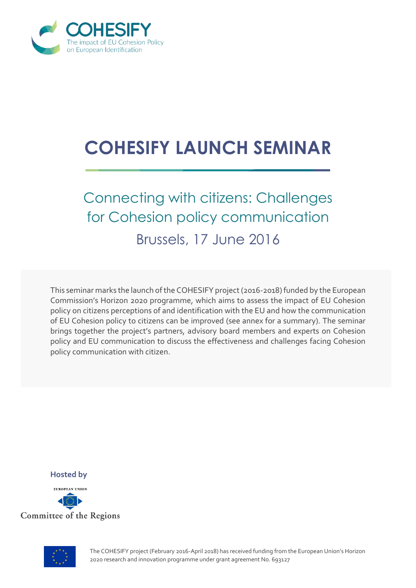

## **COHESIFY LAUNCH SEMINAR**

## Connecting with citizens: Challenges for Cohesion policy communication

Brussels, 17 June 2016

This seminar marks the launch of the COHESIFY project (2016-2018) funded by the European Commission's Horizon 2020 programme, which aims to assess the impact of EU Cohesion policy on citizens perceptions of and identification with the EU and how the communication of EU Cohesion policy to citizens can be improved (see annex for a summary). The seminar brings together the project's partners, advisory board members and experts on Cohesion policy and EU communication to discuss the effectiveness and challenges facing Cohesion policy communication with citizen.